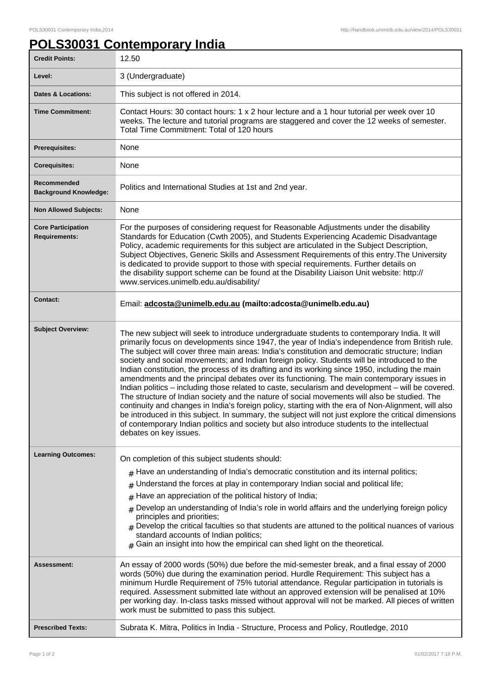## **POLS30031 Contemporary India**

| <b>Credit Points:</b>                             | 12.50                                                                                                                                                                                                                                                                                                                                                                                                                                                                                                                                                                                                                                                                                                                                                                                                                                                                                                                                                                                                                                                                                                                                          |
|---------------------------------------------------|------------------------------------------------------------------------------------------------------------------------------------------------------------------------------------------------------------------------------------------------------------------------------------------------------------------------------------------------------------------------------------------------------------------------------------------------------------------------------------------------------------------------------------------------------------------------------------------------------------------------------------------------------------------------------------------------------------------------------------------------------------------------------------------------------------------------------------------------------------------------------------------------------------------------------------------------------------------------------------------------------------------------------------------------------------------------------------------------------------------------------------------------|
| Level:                                            | 3 (Undergraduate)                                                                                                                                                                                                                                                                                                                                                                                                                                                                                                                                                                                                                                                                                                                                                                                                                                                                                                                                                                                                                                                                                                                              |
| Dates & Locations:                                | This subject is not offered in 2014.                                                                                                                                                                                                                                                                                                                                                                                                                                                                                                                                                                                                                                                                                                                                                                                                                                                                                                                                                                                                                                                                                                           |
| <b>Time Commitment:</b>                           | Contact Hours: 30 contact hours: 1 x 2 hour lecture and a 1 hour tutorial per week over 10<br>weeks. The lecture and tutorial programs are staggered and cover the 12 weeks of semester.<br>Total Time Commitment: Total of 120 hours                                                                                                                                                                                                                                                                                                                                                                                                                                                                                                                                                                                                                                                                                                                                                                                                                                                                                                          |
| Prerequisites:                                    | None                                                                                                                                                                                                                                                                                                                                                                                                                                                                                                                                                                                                                                                                                                                                                                                                                                                                                                                                                                                                                                                                                                                                           |
| <b>Corequisites:</b>                              | None                                                                                                                                                                                                                                                                                                                                                                                                                                                                                                                                                                                                                                                                                                                                                                                                                                                                                                                                                                                                                                                                                                                                           |
| Recommended<br><b>Background Knowledge:</b>       | Politics and International Studies at 1st and 2nd year.                                                                                                                                                                                                                                                                                                                                                                                                                                                                                                                                                                                                                                                                                                                                                                                                                                                                                                                                                                                                                                                                                        |
| <b>Non Allowed Subjects:</b>                      | None                                                                                                                                                                                                                                                                                                                                                                                                                                                                                                                                                                                                                                                                                                                                                                                                                                                                                                                                                                                                                                                                                                                                           |
| <b>Core Participation</b><br><b>Requirements:</b> | For the purposes of considering request for Reasonable Adjustments under the disability<br>Standards for Education (Cwth 2005), and Students Experiencing Academic Disadvantage<br>Policy, academic requirements for this subject are articulated in the Subject Description,<br>Subject Objectives, Generic Skills and Assessment Requirements of this entry. The University<br>is dedicated to provide support to those with special requirements. Further details on<br>the disability support scheme can be found at the Disability Liaison Unit website: http://<br>www.services.unimelb.edu.au/disability/                                                                                                                                                                                                                                                                                                                                                                                                                                                                                                                               |
| <b>Contact:</b>                                   | Email: adcosta@unimelb.edu.au (mailto:adcosta@unimelb.edu.au)                                                                                                                                                                                                                                                                                                                                                                                                                                                                                                                                                                                                                                                                                                                                                                                                                                                                                                                                                                                                                                                                                  |
| <b>Subject Overview:</b>                          | The new subject will seek to introduce undergraduate students to contemporary India. It will<br>primarily focus on developments since 1947, the year of India's independence from British rule.<br>The subject will cover three main areas: India's constitution and democratic structure; Indian<br>society and social movements; and Indian foreign policy. Students will be introduced to the<br>Indian constitution, the process of its drafting and its working since 1950, including the main<br>amendments and the principal debates over its functioning. The main contemporary issues in<br>Indian politics - including those related to caste, secularism and development - will be covered.<br>The structure of Indian society and the nature of social movements will also be studied. The<br>continuity and changes in India's foreign policy, starting with the era of Non-Alignment, will also<br>be introduced in this subject. In summary, the subject will not just explore the critical dimensions<br>of contemporary Indian politics and society but also introduce students to the intellectual<br>debates on key issues. |
| <b>Learning Outcomes:</b>                         | On completion of this subject students should:<br>$#$ Have an understanding of India's democratic constitution and its internal politics;<br>Understand the forces at play in contemporary Indian social and political life;<br>$\#$<br>Have an appreciation of the political history of India;<br>#<br>Develop an understanding of India's role in world affairs and the underlying foreign policy<br>#<br>principles and priorities;<br>$#$ Develop the critical faculties so that students are attuned to the political nuances of various<br>standard accounts of Indian politics;<br>Gain an insight into how the empirical can shed light on the theoretical.<br>#                                                                                                                                                                                                                                                                                                                                                                                                                                                                       |
| Assessment:                                       | An essay of 2000 words (50%) due before the mid-semester break, and a final essay of 2000<br>words (50%) due during the examination period. Hurdle Requirement: This subject has a<br>minimum Hurdle Requirement of 75% tutorial attendance. Regular participation in tutorials is<br>required. Assessment submitted late without an approved extension will be penalised at 10%<br>per working day. In-class tasks missed without approval will not be marked. All pieces of written<br>work must be submitted to pass this subject.                                                                                                                                                                                                                                                                                                                                                                                                                                                                                                                                                                                                          |
| <b>Prescribed Texts:</b>                          | Subrata K. Mitra, Politics in India - Structure, Process and Policy, Routledge, 2010                                                                                                                                                                                                                                                                                                                                                                                                                                                                                                                                                                                                                                                                                                                                                                                                                                                                                                                                                                                                                                                           |